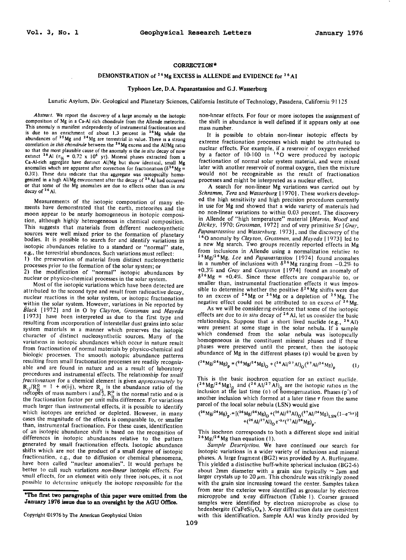## **CORRECTION\***

## DEMONSTRATION of <sup>26</sup> Mg EXCESS in ALLENDE and EVIDENCE for <sup>26</sup> A1

## **Typhoon Lee, D.A. Papanastassiou and G.J. Wasserburg**

**Lunatic Asylum, Div. Geological and Planetary Sciences, California Institute of Technology, Pasadena, California 91 125** 

**Abstract. We report the discovery of a large anomaly in the isotopic composition of Mg in a Ca-AI rich chondrule from the Allende meteorite. This anomaly is manifest independently of instrumental fractionation and** is due to an enrichment of about 1.3 percent in <sup>26</sup>Mg while the abundances of <sup>25</sup>Mg and <sup>24</sup>Mg are terrestrial in value. There is a strong correlation *in this chondrule* between the <sup>26</sup>Mg excess and the AI/Mg ratio so that the most plausible cause of the anomaly is the *in situ* decay of now<br>extinct <sup>26</sup>Al ( $\tau_{1/2}$  = 0.72 x 10<sup>6</sup> yr). Mineral phases extracted from a<br>Ca-Al-rich aggregate have distinct Al/Mg but show identical, smal anomalies which are apparent after correction for fractionation ( $\delta^{26}$  Mg = 0.3%). These data indicate that this aggregate was isotopically homo**genized in a high AI/Mg environment after the decay of 26 AI had occurred or that some of the Mg anomalies are due to effects other than in situ decay of 26 AI.** 

**Measurements of the isotopic composition of many elements have demonstrated that the earth, meteorites and the**  moon appear to be nearly homogeneous in isotopic composi**tion, although highly heterogeneous in chemical composition. This suggests that materials from different nucleosynthetic sources were well mixed prior to the formation of planetary bodies. It is possible to search for and identify variations in isotopic abundances relative to a standard or "normal" state, e.g., the terrestrial abundances. Such variations must reflect: I) the preservation of material from distinct nucleosynthetic processes prior to the formation of the solar system; or 2) the modification of "normal" isotopic abundances by nuclear or physico-chemical processes inthe solar system.** 

**Most of the isotopic variations which have been detected are attributed to the second type and result from radioactive decay, nuclear reactions in the solar system, or isotopic fractionation within the solar system. However, variations in Ne reported by Black [1972] and in O by Clayton, Grossman and Mayeda [1973] have been interpreted as due to the first type and restilting from incorporation of interstellar dust grains into solar system materials in a manner which preserves the isotopic character of distinct nucleosynthetic sources. Many of the**  variations in isotopic abundances which occur in nature result **from fractionation of normal materials by physico-chemical and biologic processes. The smooth isotopic abundance patterns resulting from small fractionation processes are readily recognizable and are found in nature and as a result of laboratory procedures and instrumental effects. The relationship for small**  *Jractionation* for a chemical element is given *approximately* by  $R_{ij}/R_{ij}^0 = 1 + \alpha(i-j)$ , where  $R_{ij}$  is the abundance ratio of the isotopes of mass numbers i and j,  $R_{ij}^0$  is the normal ratio and  $\alpha$  is the fractiona **much larger than instrumental effects, it is possible to identify which isotopes are enriched or depleted. However, in many cases the magnitude of the effects is comparable to, or smaller than, instrumental fractionation. For these cases, identification of an isotopic abundance shift is based on the recognition of differences in isotopic abundances relative to the pattern generated by small fractionation effects. Isotopic abundance shifts which are not the product of a small degree of isotopic fractionation, e.g., due to diffusion or chemical phenomena, have been called "nuclear anomalies". It would perhaps be better to call such variations non-linear isotopic effects. For small effects, for an element with only three isotopes, it is not**  possible to determine uniquely the isotope responsible for the

**non-linear effects. For four or more isotopes the assignment of the shift in abundance is well defined if it appears only at one mass number.** 

**It is possible to obtain non-linear isotopic effects by extreme fractionation processes which might be attributed to nuclear effects. For example, if a reservoir of oxygen enriched**  by a factor of 10-100 in <sup>1</sup><sup>o</sup>O were produced by isotopic **fractionation of normal solar system material, and were mixed later with another reservoir of normal oxygen, then the mixture would not be recognizable as the result of fractionation processes and might be interpreted as a nuclear effect.** 

**A search for non-linear Mg variations was carried out by Schramm, Tera and Wasserburg {1970]. These workers developed the high sensitivity and high precision procedures currently in use for Mg and showed that a wide variety of materials had no non-linear variations to within 0.03 percent. The discovery in Allende of "high temperature" material [Marvin, Wood and**  Dickey, 1970; Grossman, 1972] and of very primitive Sr [Gray, Papanastassiou and Wasserburg, 1973], and the discovery of the **• 60 anomaly by Clayton, Grossman, and Mayeda [ 1973] led to a new Mg search. Two groups recently reported effects in Mg from inclusions in Allende using a normalization relative to 25Mg/24Mg. Lee and Papanastassiott [1974] found anomalies**  in a number of inclusions with  $\delta^{20}$ Mg ranging from  $-0.2\%$  to **+0.3% and Grav and Compston [1974] found an anomaly of**   $\delta^{26}$ Mg = +0.4%. Since these effects are comparable to, or smaller than, instrumental fractionation effects it was impos**sible to determine whether the positive 626 Mg shifts were due to an excess of 24Mg or 26Mg or a depletion of 25 Mg. The negative effect could not be attributed to an excess of 26Mg.** 

**As we will be considering evidence that some of the isotopic effects are due to in situ decay of 26 AI, let us consider the basic relationships. Suppose that a short lived nuclide (e.g., 26A1)**  were present at some stage in the solar nebula. If a sample **which condensed from the solar nebula was isotopically homogeneous in the constituent mineral phases and if these phases were preserved until the present, then the isotopic abundance of Mg in the different phases (p) would be given by** 

$$
(^{26}Mg/^{24}Mg)_p = (^{26}Mg/^{24}Mg)_0 + (^{26}Al/^{27}Al)_0(^{27}Al/^{24}Mg)_p
$$
 (1)

**This is the basic isochron equation for an extinct nuclide.**   $(26 \text{ Mg})^2$ <sup>4</sup> Mg)<sub>0</sub> and  $(26 \text{ Al})^2$  <sup>2</sup>Al)<sub>0</sub> are the isotopic ratios in the  $\frac{1}{2}$ **inclusion at the lastime (0) of homogenization. Phases (p')of**  another inclusion which formed at a later time  $\tau$  from the same **parcel of the local solar nebula (LSN) would give** 

$$
({^{26}Mg/^{24}Mg})_{p'} = [({^{26}Mg/^{24}Mg})_{O} + ({^{26}Al/^{27}Al})_{O}({^{27}Al/^{24}Mg})_{LSN}(1 - e^{-\lambda \tau})]
$$
  
+  $({^{26}Al/^{27}Al})_{O}e^{-\lambda \tau}({^{27}Al/^{24}Mg})_{p'}$ 

**This isochron corresponds to both a different slope and initial 26 Mg/24 Mg than equation ( 1 ).** 

**Sample Description. We have continued our search for**  isotopic variations in a wider variety of inclusions and mineral **phases. A large fragment (BG2) was provided by A. Burlingame. This yielded a distinctive buff-white spherical inclusion (BG2-6)**  about 2mm diameter with a grain size typically  $\sim$  2 $\mu$ m and larger crystals up to 20  $\mu$ m. This chondrule was strikingly zoned **with the grain size increasing toward the center. Samples taken from near the exterior were identified as grossular by electron**  microprobe and x-ray diffraction (Table 1). Coarser grained **samples were identified by electron microprobe as close to**  hedenbergite (CaFeSi<sub>2</sub>O<sub>6</sub>). X-ray diffraction data are consistent **with this identification. Sample AAI was kindly provided by** 

<sup>\*</sup>The first two paragraphs of this paper were omitted from the January 1976 issue due to an oversight by the AGU Office.

**Copyright ¸1976 by The American Geophysical Union**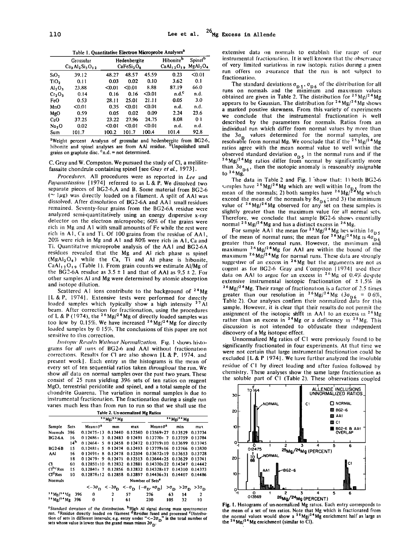**Table 1. Quantitative Electron Microprobe Analyses a** 

|                                | Grossular<br>$Ca3Al2Si3O12$ |        | Hedenbergite<br>CaFeSi <sub>2</sub> O <sub>6</sub> |        | Hibonite <sup>b</sup><br>$CaAl12O19$ MgAl <sub>2</sub> O <sub>4</sub> | Spinel <sup>b</sup> |
|--------------------------------|-----------------------------|--------|----------------------------------------------------|--------|-----------------------------------------------------------------------|---------------------|
| $S_1O_2$                       | 39.12                       | 48.27  | 48.57                                              | 45.59  | 0.23                                                                  | < 0.01              |
| TiO,                           | 0.11                        | 0.03   | 0.02                                               | 0.10   | 3.62                                                                  | 0.1                 |
| Al <sub>2</sub> O <sub>3</sub> | 23.88                       | $0.01$ | < 0.01                                             | 8.88   | 87.19                                                                 | 66.0                |
| Cr <sub>2</sub> O <sub>3</sub> | 0.14                        | 0.16   | 0.16                                               | < 0.01 | $n.d.^c$                                                              | n.d.                |
| FeO                            | 0.53                        | 28.11  | 25.01                                              | 21.11  | 0.05                                                                  | 3.0                 |
| MnO                            | < 0.01                      | 0.35   | < 0.01                                             | $0.01$ | n.d.                                                                  | n.d.                |
| MgO                            | 0.59                        | 0.05   | 0.02                                               | 0.09   | 2.24                                                                  | 23.6                |
| CaO                            | 37.25                       | 23.22  | 27.96                                              | 24.75  | 8.08                                                                  | 0 <sub>1</sub>      |
| Na <sub>2</sub> O              | 0.02                        | $0.01$ | $0.01$                                             | $0.01$ | n.d.                                                                  | n.d.                |
| Sum                            | 101.7                       | 100.2  | 101.7                                              | 100.4  | 101.4                                                                 | 92.8                |

**aWeight percent. Analysis of grossular and hedenbergite from BG2-6;**  hibonite and spinel analyses are from AAI residue. <sup>b</sup>Unpolished small **grains on graphite disc. Cn.d. = not determined.** 

**C. Gray and W. Compston. We pursued the study of CI, a melilitefassaite chondrule containing spinel [see Gray et al., 1973 ].** 

Procedures. All procedures were as reported in Lee and **Papanastassiou [ 1974] referred to as L & P. We dissolved two separate pieces of BG2-6,A and B. Some material from BG2-6**   $( \sim 1 \mu g)$  was directly loaded on a filament. A split of AAI was **dissolved. After dissolution of BG2-6A and AAI sinall residues remained. Seventy-four grains from the BG2-6A residue were analyzed semi-quantitatively using an energy dispersive x-ray detector on the electron microprobe; 60% of the grains were rich in Mg and A1 with sinall amounts of Fe while the rest were rich in A l, Ca and Ti. Of 100 grains from the residue of AA1, 20% were rich in Mg and A I and 80% were rich in AI, Ca and •Fi. Quantitative microprobe analysis of the AA! and BG2-6A residues revealed that the Mg and AI rich phase is spinel (MgA1204) while the Ca, Ti and AI phase is hibonite, CaAI• 20, 9 (Table 1). From grain countswe estimate AI/Mg of**  the BG2-6A residue as  $3.5 \pm 1$  and that of AAI as  $9.5 \pm 2$ . For **other samples A1 and Mg were determined by atomic absorption and isotope dilution.** 

**Scattered A I ions contribute to the background of 24Mg EL&P, 1974]. Extensive tests were performed for directly loaded samples which typically show a high intensity <sup>27</sup> Al beam. After correction for fractionation, using the procedures of L & P** (1974), the <sup>26</sup>Mg/<sup>24</sup>Mg of directly loaded samples was **too low by 0.15%. We have increased 26 Mg/24 Mg for directly loaded samples by 0. ! 5%. The conclusions of this paper are not**  sensitive to this correction.

*Isotopic Results Without Normalization. Fig. 1 shows histo***grams for all runs of BG2-6 and AAI without fractionation**  corrections. Results for CI are also shown [L & P, 1974, and **present work]. Each entry in the histograms is the mean of every set of ten sequential ratios taken throughout the run. We show all data on normal samples over the past two years. These consist of 25 runs yielding 396 sets of ten ratios on reagent MgO, terrestrial peridotite and spinel, and a total sample of the chondrite Guarena. The variation in normal samples is due to instrumental fractionation. The fractionation during a single run varies much less than from run to run so that we shall use the** 

| Table 2. Un-normalized Mg Ratios |                 |                                 |              |         |                                                                                                                                                         |           |                |
|----------------------------------|-----------------|---------------------------------|--------------|---------|---------------------------------------------------------------------------------------------------------------------------------------------------------|-----------|----------------|
|                                  |                 | $2.5 \text{ Mg}/2.4 \text{ Mg}$ |              |         | $2.6 \text{ Mg}/2.4 \text{ Mg}$                                                                                                                         |           |                |
| Sample                           | <b>Sets</b>     | $Mean \pm \sigma^2$             | mın          | max     | $Mean_1\sigma^a$                                                                                                                                        | min       | max            |
| <b>Normals</b>                   | 396             | $0.12475 + 13$                  | 0.12440      | 0.12540 | 013569±27                                                                                                                                               | 0.13529   | 0.13734        |
| <b>BG26A</b>                     | 16              | $0.12486 \pm 3$                 | 0.12483      | 012491  | $0.13770 \pm 7$                                                                                                                                         | 0.13759   | 013784         |
|                                  | 14 <sup>b</sup> | $0.12464 - 5$                   | 012458       | 012472  | $0.13719 \pm 10$                                                                                                                                        | 0.13699   | 0.13745        |
| <b>BG2-6B</b>                    | 15              | $0.12481 + 5$                   | 012474       | 0.12493 | $0.13779 \pm 16$                                                                                                                                        | 013766    | 013830         |
| AAI                              | 16              | $0.12491 + R$                   | 0.12478      | 0.12504 | $0.13672 \pm 19$                                                                                                                                        | 0.13653   | 0.13728        |
|                                  | 18              | $0.12479 + 9$                   | 0.12471      |         | $0.12513$ $0.13644 \pm 25$ $0.13629$                                                                                                                    |           | 013741         |
| а                                | 60              | $0.12850+10$                    | 0.12832      | 0.12881 | $0.14370+22$                                                                                                                                            | 0.14347   | 0.14442        |
| $C^{hc}$ Res                     | 15              | $0.12840 - 7$                   | 0.12856      | 0.12832 | $0.14328 \pm 17$                                                                                                                                        | 0.14310   | 0.14373        |
| $\mathbf{C}^{\mathbf{d}}$ Res    | 10              | $0.12878 \pm 12$                | 0.12858      | 0.12897 | $0.14436 \pm 31$                                                                                                                                        | 0.14407   | 0.14486        |
| Normals                          |                 |                                 |              |         | Number of Sets <sup>e</sup>                                                                                                                             |           |                |
|                                  |                 |                                 |              |         | $<-3\sigma_{\rm D}$ $<-2\sigma_{\rm D}$ $<- \sigma_{\rm D}$ $[-\sigma_{\rm D},+\sigma_{\rm D}]$ $>\sigma_{\rm D}$ $>2\sigma_{\rm D}$ $>3\sigma_{\rm D}$ |           |                |
| $3.5 \text{Mg}/^{2.4} \text{Mg}$ | 396             | 0                               | $\mathbf{2}$ | 57      | 276                                                                                                                                                     | 63<br>14  | $\overline{2}$ |
| $26$ Mg/ <sup>24</sup> Mg 396    |                 | 0                               | 1            | 61      | 230                                                                                                                                                     | 105<br>32 | 10             |

<sup>a</sup> Standard deviation of the distribution. <sup>D</sup>High AI signal during mass spectrometer *n***un.** <sup>2</sup> Residue directly loaded on filament <sup>d</sup> Residue fused and processed <sup>*e*</sup> Distribu-</sub> tion of sets in different intervals; e.g. entry under "<-20<sub>D</sub>" is the total number of also sets whose value is lower than the grand mean minus 20<sub>D</sub>.

**extensive data on normals to establish the range of our** instrumental fractionation. It is well known that the observance **of very limited variations in raw isotopic ratios during a given run offers no assurance that the run is not subject to fractionation.** 

**The standard deviations**  $\sigma_{D5}$ **,**  $\sigma_{D6}$  **of the distribution for all curs on normals and the minimum and maximum values** obtained are given in Table 2. The distribution for  $2^5$  Mg/ $2^4$  Mg **appears to be Gaussian. The distribution for 26 Mg/24 Mg shows a marked positive skewness. From this variety of experiments we conclude that the instrumental fractionation is well described by the parameters for normals. Ratios from an**  individual run which differ from normal values by more than **the 30• values determined for the normal samples, are resolvable from normal Mg. We conclude that if the <sup>25</sup> Mg/<sup>24</sup> Mg ratios agree with the mean normal value to well within the observed standard deviation**  $\sigma_{\text{D5}}$  **in the normal runs and if the**  $^{26}$ Mg/<sup>24</sup>Mg ratios differ from normal by significantly more than  $3\sigma_{0.6}$ , then the isotopic anomaly is reasonably assignable **to 26 Mg.** 

The data in Table 2 and Fig. 1 show that: 1) both BG2-6 simples have <sup>23</sup> Mg/<sup>24</sup> Mg which are well within  $\log_{1.5} t$  from the mean of the normals; 2) both samples have <sup>26</sup> Mg/<sup>24</sup> Mg which exceed the mean of the normals by  $\sigma_{D6}$ ; and 3) the minimum value of  $26 \text{ Mg}/24 \text{ Mg}$  observed for any set on these samples is **slightly greater than the maximum value for all normal sets. Therefore, we conclude that sample BG2-6 shows essentially normal 2 s Mg/24 Mg and has a distinct excess in 26 Mg.** 

**For sample AA1 the mean for <sup>2,3</sup> Mg/<sup>24</sup> Mg lies within 10<sub>D 5</sub>** of the mean of normal runs; the mean for <sup>2</sup> Mg/<sup>2</sup> Mg is 40<sub>D 6</sub> peater than for normal runs. However, the minimum and **maximum 26 Mg/24Mg for AAI are within the bound of the maximum 26 Mg/24 Mg for normal runs. These data are strongly**  suggestive of an excess in <sup>26</sup>Mg but the arguments are not as cogent as for BG2-6. Gray and Compston [1974] used their data on AAI to argue for an excess in <sup>26</sup>Mg of 0.4% despite **extensive instrumental isotopic fractionation of**  $\pm$  **1.5% in 26Mg/24Mg. Their range of fractionation is a factor of 2.5 times**  greater than our resolution in <sup>20</sup>Mg/<sup>24</sup>Mg (30<sub>D6</sub> = 0.6%,<br>Table 2). Our analyses confirm their normalized data for this sample. However, it is clear that their results do not permit the assignment of the isotopic shift in AA1 to an excess in  $^{26}$ Mg **rather than an excess in 24Mg or a deficiency in 25Mg. This discussion is not intended to obfuscate their independent discovery of a Mg isotopic effect.** 

**Unnormalized Mg ratios of C1 were previously found. to be significantly fractionated in four experiments. At that time we were not certain that large instrumental fractionation could be excluded EL & P 1974]. We have further analyzed the insoluble**  residue of C1 by direct loading and after fusion followed by **chemistry. These analyses show the same large fractionation as the soluble part of C1 (Table 2). These observations coupled** 



**Fig. 1. Histograms of un-normalized Mg ratios. Each entry corresponds to**  the mean of a set of ten ratios. Note that Mg which is fractionated from<br>the normal values would show a <sup>25</sup>Mg/<sup>24</sup>Mg enrichment half as large as<br>the <sup>26</sup>Mg/<sup>24</sup>Mg enrichment (similar to Cl).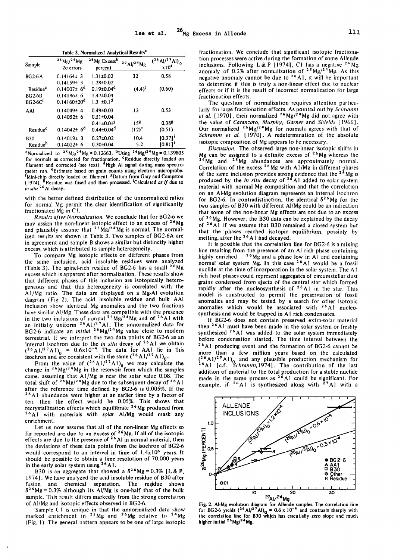**Table 3. Normalized Analytical Results a** 

| Sample               | $^{26}$ Mg/ <sup>24</sup> Mg<br>$2\sigma$ errors | <sup>26</sup> Mg Excess <sup>b</sup><br>percent | $^{27}$ Al/ <sup>24</sup> Mg | $({}^{26}$ Al/ <sup>2 7</sup> Al) <sub>0</sub><br>x10 <sup>4</sup> |
|----------------------|--------------------------------------------------|-------------------------------------------------|------------------------------|--------------------------------------------------------------------|
| <b>BG2-6A</b>        | $0.14164 \pm 3$                                  | 1.31±0.02                                       | 32                           | 0.58                                                               |
|                      | $0.14159 + 3$                                    | $1.28 \pm 0.02$                                 |                              |                                                                    |
| Residue <sup>c</sup> | $0.14007\pm 6^d$                                 | $0.19 \pm 0.04^d$                               | $(4.4)^e$                    | (0.60)                                                             |
| <b>BG2-6B</b>        | $0.14186 \pm 6$                                  | $1.47 \pm 0.04$                                 |                              |                                                                    |
| $BG2-6Cf$            | $0.14160 \pm 20^d$                               | $1.3 \pm 0.1$ <sup>d</sup>                      |                              |                                                                    |
| AAI                  | $0.14049 \pm 4$                                  | $0.49 \pm 0.03$                                 | 13                           | 0.53                                                               |
|                      | $0.14052 \pm 6$                                  | $0.51 \pm 0.04$                                 |                              |                                                                    |
|                      |                                                  | $0.41 \pm 0.018$                                | 158                          | $0.38^{g}$                                                         |
| Residue <sup>c</sup> | $0.14042 \pm 6^d$                                | $0.44 \pm 0.04$ <sup>d</sup>                    | $(12)^e$                     | (0.51)                                                             |
| <b>B30</b>           | $0.14019 \pm 3$                                  | $0.27 \pm 0.02$                                 | 10.4                         | $[0.37]$ <sup>1</sup>                                              |
| Residue <sup>h</sup> | $0.14022 \pm 6$                                  | $0.30 \pm 0.04$                                 | 5.2                          | $[0.81]$ <sup>1</sup>                                              |

<sup>a</sup>Normalized to  $^{25}$ Mg/<sup>24</sup>Mg = 0.12663. <sup>b</sup>Using <sup>26</sup>Mg/<sup>24</sup>Mg = 0.139805 for normals as corrected for fractionation. <sup>c</sup>Residue directly loaded on filament and corrected (see text). <sup>d</sup>High AI signal during mass spectro**meter run. eEstimate based on grain counts using electron microprobe.**  *Mini-chip directly loaded on filament.**BDatum from Gray and Compston* **<b>***no. 1999* (1974). <sup>It</sup> Residue was fused and then processed. 'Calculated as if due to **in situ 26 Ai decay.** 

**with the better defined distribution of the unnormalized ratios for normal Mg permit the clear identification of significantly fractionated Mg in C 1.** 

**Results after Normalization. We conclude that for BG2-6 we may assign the non-linear isotopic effect to an excess of 26 Mg**  and plausibly assume that <sup>25</sup> Mg/<sup>24</sup> Mg is normal. The normal**ized results are shown in Table 3. Two samples of BG2-6A are in agreement and sample B shows a similar but distinctly higher excess, which is attributed to sample heterogeneity.** 

**To compare Mg isotopic effects on different phases from the same inclusion, acid insoluble residues were analyzed (Table 3). The spinel-rich residue of BG2-6 has a small 26Mg excess which is apparent after normalization. These results show that different phases of this inclusion are isotopically heterogeneous and that this heterogeneity is correlated with the A I/Mg ratio. The data are displayed on a Mg-AI evolution diagram (Fig. 2). The acid insoluble residue and bulk AA1 inclusion show identical Mg anomalies and the two fractions have similar AI/Mg. These data are compatible with the presence in the two inclusions of normal 2 SMg/•4Mg and of 26Ai with an initially uniform 2 6A1/2 • A 1. The unnormalized data for BG2-6 indicate an initial 2 6Mg/24Mg value close to modern terrestrial. If we interpret the two data points of BG2-6 as an**  internal isochron due to the *in situ* decay of <sup>2</sup> Al we obtain  $(2^6 A)^{27} A$  **b** = 0.6x10<sup>-4</sup>. The data for AA1 lie in this isochron and are consistent with the same  $({}^{26}$ A1/<sup>27</sup>A1)<sub>0</sub>.

From the value of  $({}^{26}A)/{}^{27}A1)_0$  we may calculate the change in  $^{26}Mg/{}^{24}Mg$  in the reservoir from which the samples **came. assuming that A1/Mg is near the solar value 0.08. The total shift of 26 Mg/24 Mg due to the subsequent decay of 26 A 1 after the reference time defined by BG2-6 is 0.005%. If the 26 A1 abundance were higher at an earlier time by a factor of ten, then the effect would be 0.05%. This shows that recrystallization effects which equilibrate 26Mg produced from 26A1 with materials with solar A1/Mg would mask any enrichment.** 

**Let us now assume that all of the non-linear Mg effects so far reported are due to an excess of 26 Mg. If all of the isotopic effects are due to the presence of 26 AI in normal material, then the deviations of these data points from the isochron of BG2-6 would correspond to an interval in time of 1.4xl06 years. It should be possible to obtain a time resolution of 70,000 years**  in the early solar system using <sup>26</sup> A 1.

**B30** is an aggregate that showed a  $\delta^{26}Mg = 0.3\%$  [L & P, **1974]. We have analyzed the acid insoluble residue of B30 after fusion and chemical separation. The residue shows**   $\delta^{2.6}$ Mg = 0.3% although its Al/Mg is one-half that of the bulk **sample. This result differs markedly from the strong correlation of AI/Mg and isotopic effects observed in BG2-6.** 

**Sample C1 is unique in that the unnormalized data show marked enrichment in 2SMg and 26Mg relative to 24Mg (Fig. 1). The general pattern appears to be one of large isotopic** 

**fractionation. We conclude that significant isotopic fractionation processes were active during the formation of some Allende inclusions. Following L& P [1974l, CI has a negative 26Mg anomaly of 0.2% after normalization of 2SMg/24Mg. As this negative anomaly cannot be due to <sup>26</sup>A1**, it will be important to determine if this is truly a non-linear effect due to nuclear **effects or if it is the result of incorrect normalization for large fractionation effects.** 

**The question of normalization requires attention particularly for large fractionation effects. As pointed out by Schramm et al. [ 1970], their normalized 26 Mg/24 Mg did not agree with the value of Catanzaro, Murphy, Garner and Shields [1966]. Our normalized 26Mg/24Mg for normals agrees with that of Schramm et al. [1970]. A redetermination of the absolute isotopic composition of Mg appears to be necessary.** 

**Discussion. The observed large non-linear isotopic shifts in Mg can be assigned to a definite excess of 26Mg whereas the 24Mg and 2SMg abundances are approximately normal. Correlation of the excess 26 Mg with A1/Mg in different phases of the sarne inclusion provides strong evidence that the 26 Mg is produced by the in situ decay of 26A1 added to solar system material with normal Mg composition and that the correlation on an AI-Mg evolution diagram represents an internal isochron**  for BG2-6. In contradistinction, the identical  $\delta^{26}Mg$  for the **two samples of B30 with different AI/Mg could be an indication that some of the non-linear Mg effects are not due to an excess of 26 Mg. Ilowever, the B30 data can be explained by the decay of 26Ai if we assume that B30 remained a closed system but that the phases reached isotopic equilibrium, possibly by melting, after the 26 A 1 had decayed.** 

**It is possible that the correlation line for BG2-6 is a mixing line resulting from the presence of an Al rich phase containing**  highly enriched <sup>26</sup>Mg and a phase low in A1 and containing **normal solar system Mg. In this case 26A1 would be a fossil nuclide at the time of incorporation in the solar system. The A I rich host phases could represent aggregates of circumstellar dust**  grains condensed from ejecta of the central star which formed rapidly after the nucleosynthesis of <sup>26</sup>A1 in the star. This **model is constructed to permit the preservation of fossil anomalies and may be tested by a search for other isotopic anomalies which would be associated with 26A1 nucleosynthesis and would be trapped in A I rich condensates.** 

**If BG2-6 does not contain preserved extra-solar material then 26Ai must have been made in the solar system or freshly synthesized 26AI was added to the solar system immediately**  before condensation started. The time interval between the **26A1 producing event and the formation of BG2-6 cannot be more than a few million years based on the calculated (2 6 A 1/2 •A I)o and any plausible production mechanism for 26A1 [c.f., Schramm, 1974]. The contribution of the last addition of material to the total production for a stable nuclide**  made in the same process as <sup>2</sup><sup>o</sup>A1 could be significant. For example, if <sup>26</sup>A1 is synthesized along with <sup>27</sup>A1 with a



Fig. 2. Al-Mg evolution diagram for Allende samples. The correlation line<br>for BG2-6 yields  $(^{26}$ Al/<sup>27</sup>Al)<sub>0</sub> = 0.6 x 10<sup>-4</sup> and contrasts sharply with<br>the correlation line for B30 which has essentially zero slope and m **higher initial 26Mg/24Mg.**